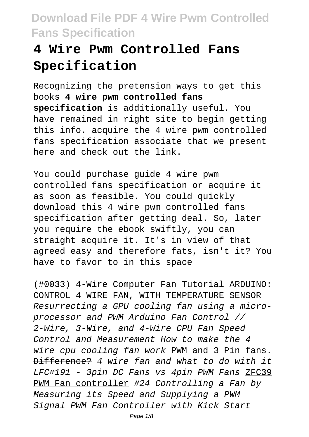# **4 Wire Pwm Controlled Fans Specification**

Recognizing the pretension ways to get this books **4 wire pwm controlled fans specification** is additionally useful. You have remained in right site to begin getting this info. acquire the 4 wire pwm controlled fans specification associate that we present here and check out the link.

You could purchase guide 4 wire pwm controlled fans specification or acquire it as soon as feasible. You could quickly download this 4 wire pwm controlled fans specification after getting deal. So, later you require the ebook swiftly, you can straight acquire it. It's in view of that agreed easy and therefore fats, isn't it? You have to favor to in this space

(#0033) 4-Wire Computer Fan Tutorial ARDUINO: CONTROL 4 WIRE FAN, WITH TEMPERATURE SENSOR Resurrecting a GPU cooling fan using a microprocessor and PWM Arduino Fan Control // 2-Wire, 3-Wire, and 4-Wire CPU Fan Speed Control and Measurement How to make the 4 wire cpu cooling fan work PWM and 3 Pin fans. Difference? 4 wire fan and what to do with it LFC#191 - 3pin DC Fans vs 4pin PWM Fans ZFC39 PWM Fan controller #24 Controlling a Fan by Measuring its Speed and Supplying a PWM Signal PWM Fan Controller with Kick Start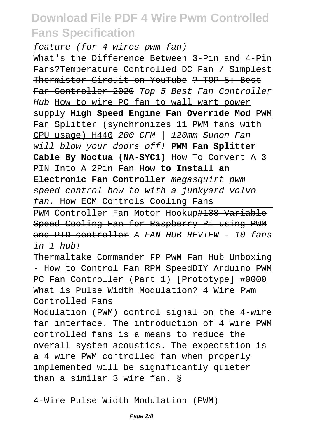feature (for 4 wires pwm fan)

What's the Difference Between 3-Pin and 4-Pin Fans?Temperature Controlled DC Fan / Simplest Thermistor Circuit on YouTube ? TOP 5: Best Fan Controller 2020 Top 5 Best Fan Controller Hub How to wire PC fan to wall wart power supply **High Speed Engine Fan Override Mod** PWM Fan Splitter (synchronizes 11 PWM fans with CPU usage) H440 200 CFM | 120mm Sunon Fan will blow your doors off! **PWM Fan Splitter Cable By Noctua (NA-SYC1)** How To Convert A 3 PIN Into A 2Pin Fan **How to Install an Electronic Fan Controller** megasquirt pwm speed control how to with a junkyard volvo fan. How ECM Controls Cooling Fans

PWM Controller Fan Motor Hookup#138 Variable Speed Cooling Fan for Raspberry Pi using PWM and PID controller A FAN HUB REVIEW - 10 fans in 1 hub!

Thermaltake Commander FP PWM Fan Hub Unboxing - How to Control Fan RPM SpeedDIY Arduino PWM PC Fan Controller (Part 1) [Prototype] #0000 What is Pulse Width Modulation? 4 Wire Pwm Controlled Fans

Modulation (PWM) control signal on the 4-wire fan interface. The introduction of 4 wire PWM controlled fans is a means to reduce the overall system acoustics. The expectation is a 4 wire PWM controlled fan when properly implemented will be significantly quieter than a similar 3 wire fan. §

4-Wire Pulse Width Modulation (PWM)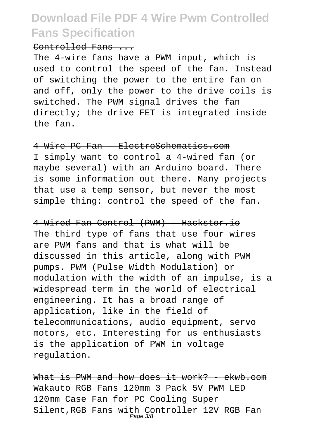#### Controlled Fans ...

The 4-wire fans have a PWM input, which is used to control the speed of the fan. Instead of switching the power to the entire fan on and off, only the power to the drive coils is switched. The PWM signal drives the fan directly; the drive FET is integrated inside the fan.

4 Wire PC Fan - ElectroSchematics.com I simply want to control a 4-wired fan (or maybe several) with an Arduino board. There is some information out there. Many projects that use a temp sensor, but never the most simple thing: control the speed of the fan.

4-Wired Fan Control (PWM) - Hackster.io The third type of fans that use four wires are PWM fans and that is what will be discussed in this article, along with PWM pumps. PWM (Pulse Width Modulation) or modulation with the width of an impulse, is a widespread term in the world of electrical engineering. It has a broad range of application, like in the field of telecommunications, audio equipment, servo motors, etc. Interesting for us enthusiasts is the application of PWM in voltage regulation.

What is PWM and how does it work? - ekwb.com Wakauto RGB Fans 120mm 3 Pack 5V PWM LED 120mm Case Fan for PC Cooling Super Silent,RGB Fans with Controller 12V RGB Fan Page 3/8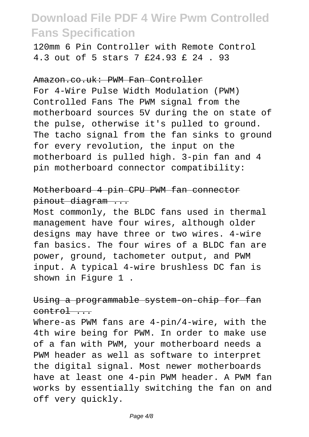120mm 6 Pin Controller with Remote Control 4.3 out of 5 stars 7 £24.93 £ 24 . 93

#### Amazon.co.uk: PWM Fan Controller

For 4-Wire Pulse Width Modulation (PWM) Controlled Fans The PWM signal from the motherboard sources 5V during the on state of the pulse, otherwise it's pulled to ground. The tacho signal from the fan sinks to ground for every revolution, the input on the motherboard is pulled high. 3-pin fan and 4 pin motherboard connector compatibility:

### Motherboard 4 pin CPU PWM fan connector pinout diagram ...

Most commonly, the BLDC fans used in thermal management have four wires, although older designs may have three or two wires. 4-wire fan basics. The four wires of a BLDC fan are power, ground, tachometer output, and PWM input. A typical 4-wire brushless DC fan is shown in Figure 1 .

#### Using a programmable system-on-chip for fan control ...

Where-as PWM fans are 4-pin/4-wire, with the 4th wire being for PWM. In order to make use of a fan with PWM, your motherboard needs a PWM header as well as software to interpret the digital signal. Most newer motherboards have at least one 4-pin PWM header. A PWM fan works by essentially switching the fan on and off very quickly.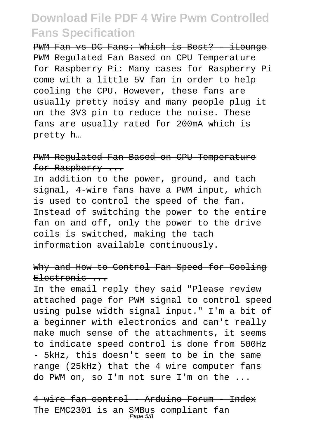PWM Fan vs DC Fans: Which is Best? - iLounge PWM Regulated Fan Based on CPU Temperature for Raspberry Pi: Many cases for Raspberry Pi come with a little 5V fan in order to help cooling the CPU. However, these fans are usually pretty noisy and many people plug it on the 3V3 pin to reduce the noise. These fans are usually rated for 200mA which is pretty h…

#### PWM Regulated Fan Based on CPU Temperature for Raspberry ...

In addition to the power, ground, and tach signal, 4-wire fans have a PWM input, which is used to control the speed of the fan. Instead of switching the power to the entire fan on and off, only the power to the drive coils is switched, making the tach information available continuously.

#### Why and How to Control Fan Speed for Cooling  $E$ lectronic  $\qquad$

In the email reply they said "Please review attached page for PWM signal to control speed using pulse width signal input." I'm a bit of a beginner with electronics and can't really make much sense of the attachments, it seems to indicate speed control is done from 500Hz - 5kHz, this doesn't seem to be in the same range (25kHz) that the 4 wire computer fans do PWM on, so I'm not sure I'm on the ...

4 wire fan control - Arduino Forum - Index The EMC2301 is an SMBus compliant fan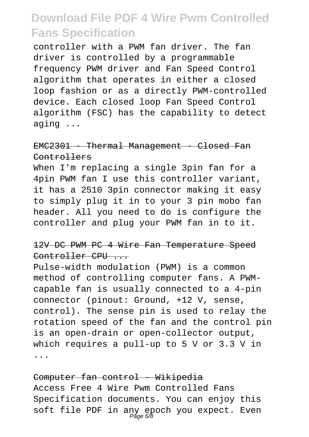controller with a PWM fan driver. The fan driver is controlled by a programmable frequency PWM driver and Fan Speed Control algorithm that operates in either a closed loop fashion or as a directly PWM-controlled device. Each closed loop Fan Speed Control algorithm (FSC) has the capability to detect aging ...

#### EMC2301 - Thermal Management - Closed Fan Controllers

When I'm replacing a single 3pin fan for a 4pin PWM fan I use this controller variant, it has a 2510 3pin connector making it easy to simply plug it in to your 3 pin mobo fan header. All you need to do is configure the controller and plug your PWM fan in to it.

#### 12V DC PWM PC 4 Wire Fan Temperature Speed Controller CPU ...

Pulse-width modulation (PWM) is a common method of controlling computer fans. A PWMcapable fan is usually connected to a 4-pin connector (pinout: Ground, +12 V, sense, control). The sense pin is used to relay the rotation speed of the fan and the control pin is an open-drain or open-collector output, which requires a pull-up to 5 V or 3.3 V in ...

Computer fan control - Wikipedia Access Free 4 Wire Pwm Controlled Fans Specification documents. You can enjoy this soft file PDF in any epoch you expect. Even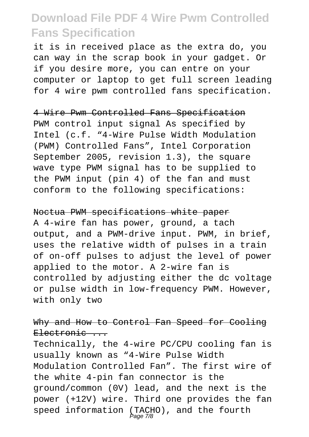it is in received place as the extra do, you can way in the scrap book in your gadget. Or if you desire more, you can entre on your computer or laptop to get full screen leading for 4 wire pwm controlled fans specification.

4 Wire Pwm Controlled Fans Specification

PWM control input signal As specified by Intel (c.f. "4-Wire Pulse Width Modulation (PWM) Controlled Fans", Intel Corporation September 2005, revision 1.3), the square wave type PWM signal has to be supplied to the PWM input (pin 4) of the fan and must conform to the following specifications:

Noctua PWM specifications white paper

A 4-wire fan has power, ground, a tach output, and a PWM-drive input. PWM, in brief, uses the relative width of pulses in a train of on-off pulses to adjust the level of power applied to the motor. A 2-wire fan is controlled by adjusting either the dc voltage or pulse width in low-frequency PWM. However, with only two

Why and How to Control Fan Speed for Cooling Electronic ...

Technically, the 4-wire PC/CPU cooling fan is usually known as "4-Wire Pulse Width Modulation Controlled Fan". The first wire of the white 4-pin fan connector is the ground/common (0V) lead, and the next is the power (+12V) wire. Third one provides the fan speed information (TACHO), and the fourth